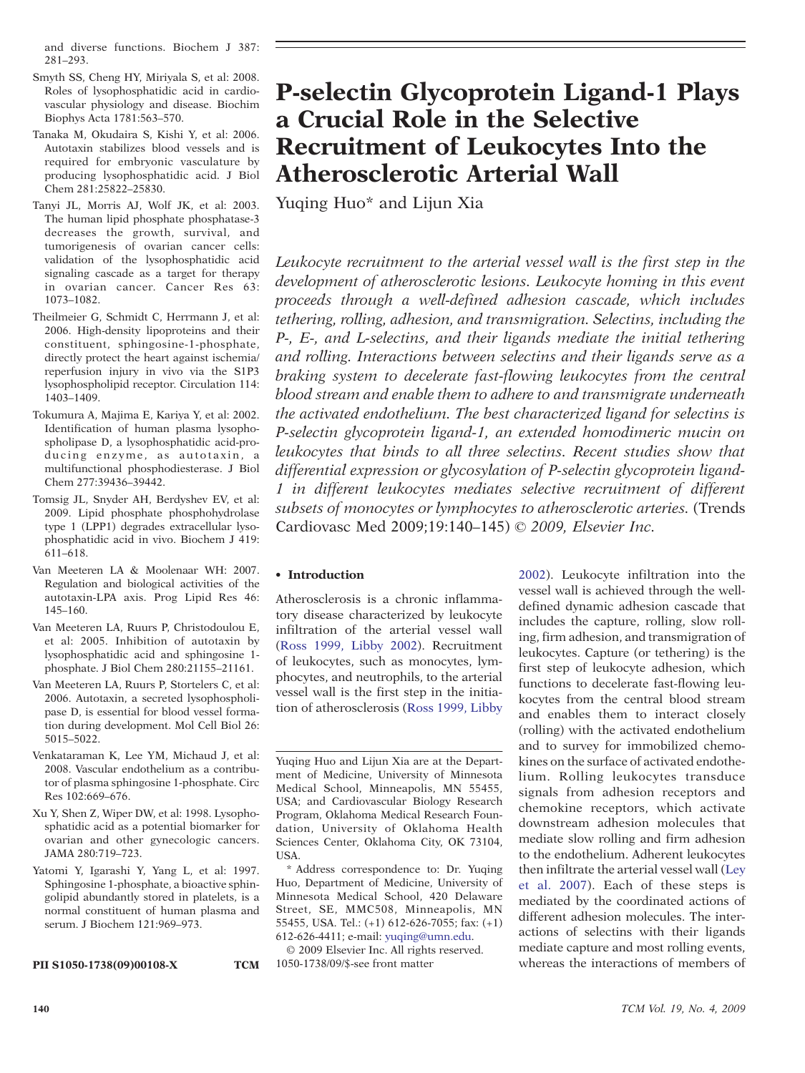and diverse functions. Biochem J 387: 281–293.

- Smyth SS, Cheng HY, Miriyala S, et al: 2008. Roles of lysophosphatidic acid in cardiovascular physiology and disease. Biochim Biophys Acta 1781:563–570.
- Tanaka M, Okudaira S, Kishi Y, et al: 2006. Autotaxin stabilizes blood vessels and is required for embryonic vasculature by producing lysophosphatidic acid. J Biol Chem 281:25822–25830.
- Tanyi JL, Morris AJ, Wolf JK, et al: 2003. The human lipid phosphate phosphatase-3 decreases the growth, survival, and tumorigenesis of ovarian cancer cells: validation of the lysophosphatidic acid signaling cascade as a target for therapy in ovarian cancer. Cancer Res 63: 1073–1082.
- Theilmeier G, Schmidt C, Herrmann J, et al: 2006. High-density lipoproteins and their constituent, sphingosine-1-phosphate, directly protect the heart against ischemia/ reperfusion injury in vivo via the S1P3 lysophospholipid receptor. Circulation 114: 1403–1409.
- Tokumura A, Majima E, Kariya Y, et al: 2002. Identification of human plasma lysophospholipase D, a lysophosphatidic acid-producing enzyme, as autotaxin, a multifunctional phosphodiesterase. J Biol Chem 277:39436–39442.
- Tomsig JL, Snyder AH, Berdyshev EV, et al: 2009. Lipid phosphate phosphohydrolase type 1 (LPP1) degrades extracellular lysophosphatidic acid in vivo. Biochem J 419: 611–618.
- Van Meeteren LA & Moolenaar WH: 2007. Regulation and biological activities of the autotaxin-LPA axis. Prog Lipid Res 46: 145–160.
- Van Meeteren LA, Ruurs P, Christodoulou E, et al: 2005. Inhibition of autotaxin by lysophosphatidic acid and sphingosine 1 phosphate. J Biol Chem 280:21155–21161.
- Van Meeteren LA, Ruurs P, Stortelers C, et al: 2006. Autotaxin, a secreted lysophospholipase D, is essential for blood vessel formation during development. Mol Cell Biol 26: 5015–5022.
- Venkataraman K, Lee YM, Michaud J, et al: 2008. Vascular endothelium as a contributor of plasma sphingosine 1-phosphate. Circ Res 102:669–676.
- Xu Y, Shen Z, Wiper DW, et al: 1998. Lysophosphatidic acid as a potential biomarker for ovarian and other gynecologic cancers. JAMA 280:719–723.
- Yatomi Y, Igarashi Y, Yang L, et al: 1997. Sphingosine 1-phosphate, a bioactive sphingolipid abundantly stored in platelets, is a normal constituent of human plasma and serum. J Biochem 121:969–973.

PII S1050-1738(09)00108-X TCM

# P-selectin Glycoprotein Ligand-1 Plays a Crucial Role in the Selective Recruitment of Leukocytes Into the Atherosclerotic Arterial Wall

Yuqing Huo<sup>\*</sup> and Lijun Xia

Leukocyte recruitment to the arterial vessel wall is the first step in the development of atherosclerotic lesions. Leukocyte homing in this event proceeds through a well-defined adhesion cascade, which includes tethering, rolling, adhesion, and transmigration. Selectins, including the P-, E-, and L-selectins, and their ligands mediate the initial tethering and rolling. Interactions between selectins and their ligands serve as a braking system to decelerate fast-flowing leukocytes from the central blood stream and enable them to adhere to and transmigrate underneath the activated endothelium. The best characterized ligand for selectins is P-selectin glycoprotein ligand-1, an extended homodimeric mucin on leukocytes that binds to all three selectins. Recent studies show that differential expression or glycosylation of P-selectin glycoprotein ligand-1 in different leukocytes mediates selective recruitment of different subsets of monocytes or lymphocytes to atherosclerotic arteries. (Trends Cardiovasc Med 2009;19:140–145) © 2009, Elsevier Inc.

#### • Introduction

Atherosclerosis is a chronic inflammatory disease characterized by leukocyte infiltration of the arterial vessel wall [\(Ross 1999, Libby 2002\)](#page-5-0). Recruitment of leukocytes, such as monocytes, lymphocytes, and neutrophils, to the arterial vessel wall is the first step in the initiation of atherosclerosis [\(Ross 1999, Libby](#page-5-0)

© 2009 Elsevier Inc. All rights reserved. 1050-1738/09/\$-see front matter

[2002\).](#page-5-0) Leukocyte infiltration into the vessel wall is achieved through the welldefined dynamic adhesion cascade that includes the capture, rolling, slow rolling, firm adhesion, and transmigration of leukocytes. Capture (or tethering) is the first step of leukocyte adhesion, which functions to decelerate fast-flowing leukocytes from the central blood stream and enables them to interact closely (rolling) with the activated endothelium and to survey for immobilized chemokines on the surface of activated endothelium. Rolling leukocytes transduce signals from adhesion receptors and chemokine receptors, which activate downstream adhesion molecules that mediate slow rolling and firm adhesion to the endothelium. Adherent leukocytes then infiltrate the arterial vessel wall [\(Ley](#page-5-0) [et al. 2007](#page-5-0)). Each of these steps is mediated by the coordinated actions of different adhesion molecules. The interactions of selectins with their ligands mediate capture and most rolling events, whereas the interactions of members of

Yuqing Huo and Lijun Xia are at the Department of Medicine, University of Minnesota Medical School, Minneapolis, MN 55455, USA; and Cardiovascular Biology Research Program, Oklahoma Medical Research Foundation, University of Oklahoma Health Sciences Center, Oklahoma City, OK 73104, USA.

<sup>⁎</sup> Address correspondence to: Dr. Yuqing Huo, Department of Medicine, University of Minnesota Medical School, 420 Delaware Street, SE, MMC508, Minneapolis, MN 55455, USA. Tel.: (+1) 612-626-7055; fax: (+1) 612-626-4411; e-mail: yuqing@umn.edu.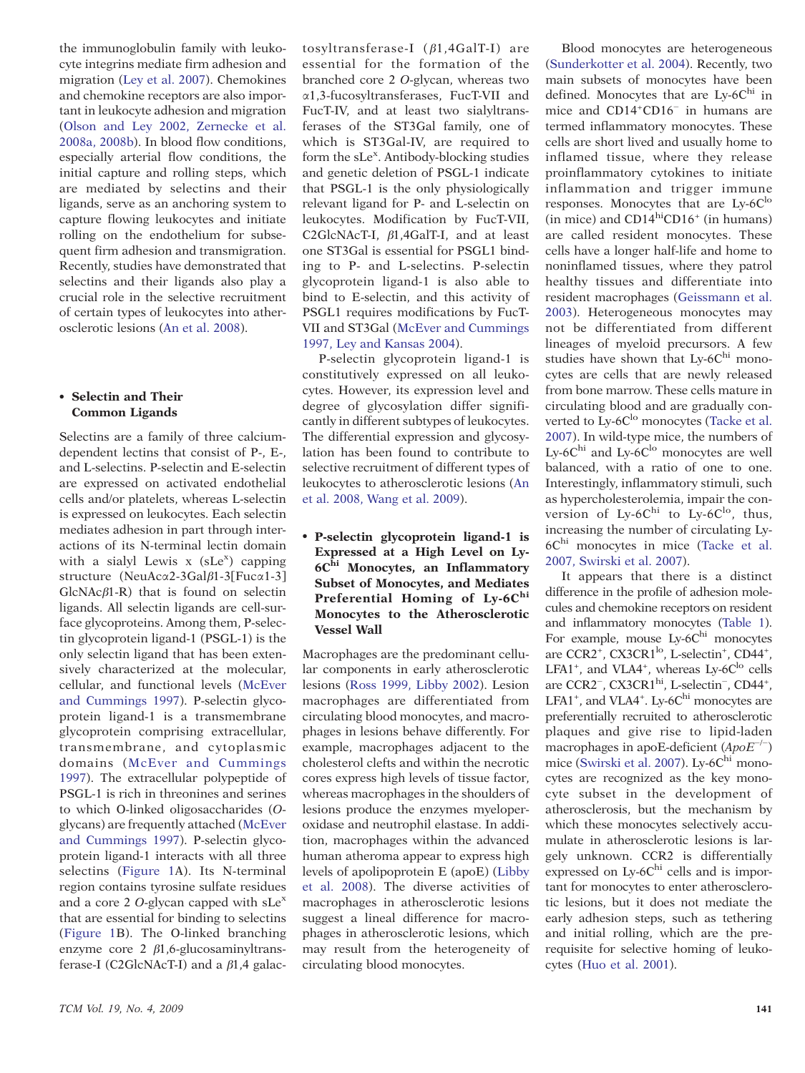the immunoglobulin family with leukocyte integrins mediate firm adhesion and migration [\(Ley et al. 2007\)](#page-5-0). Chemokines and chemokine receptors are also important in leukocyte adhesion and migration [\(Olson and Ley 2002, Zernecke et al.](#page-5-0) [2008a, 2008b\)](#page-5-0). In blood flow conditions, especially arterial flow conditions, the initial capture and rolling steps, which are mediated by selectins and their ligands, serve as an anchoring system to capture flowing leukocytes and initiate rolling on the endothelium for subsequent firm adhesion and transmigration. Recently, studies have demonstrated that selectins and their ligands also play a crucial role in the selective recruitment of certain types of leukocytes into atherosclerotic lesions [\(An et al. 2008\).](#page-4-0)

#### Selectin and Their Common Ligands

Selectins are a family of three calciumdependent lectins that consist of P-, E-, and L-selectins. P-selectin and E-selectin are expressed on activated endothelial cells and/or platelets, whereas L-selectin is expressed on leukocytes. Each selectin mediates adhesion in part through interactions of its N-terminal lectin domain with a sialyl Lewis  $x$  (sLe<sup>x</sup>) capping structure (NeuAcα2-3Galβ1-3[Fucα1-3]  $GlcNAc\beta1-R$ ) that is found on selectin ligands. All selectin ligands are cell-surface glycoproteins. Among them, P-selectin glycoprotein ligand-1 (PSGL-1) is the only selectin ligand that has been extensively characterized at the molecular, cellular, and functional levels [\(McEver](#page-5-0) [and Cummings 1997\)](#page-5-0). P-selectin glycoprotein ligand-1 is a transmembrane glycoprotein comprising extracellular, transmembrane, and cytoplasmic domains [\(McEver and Cummings](#page-5-0) [1997\)](#page-5-0). The extracellular polypeptide of PSGL-1 is rich in threonines and serines to which O-linked oligosaccharides (Oglycans) are frequently attached [\(McEver](#page-5-0) [and Cummings 1997\)](#page-5-0). P-selectin glycoprotein ligand-1 interacts with all three selectins (Figure 1A). Its N-terminal region contains tyrosine sulfate residues and a core 2  $O$ -glycan capped with sLe<sup>x</sup> that are essential for binding to selectins [\(Figure 1B](#page-2-0)). The O-linked branching enzyme core 2 β1,6-glucosaminyltransferase-I (C2GlcNAcT-I) and a  $\beta$ 1,4 galactosyltransferase-I ( β1,4GalT-I) are essential for the formation of the branched core 2 O-glycan, whereas two α1,3-fucosyltransferases, FucT-VII and FucT-IV, and at least two sialyltransferases of the ST3Gal family, one of which is ST3Gal-IV, are required to form the sLe<sup>x</sup>. Antibody-blocking studies and genetic deletion of PSGL-1 indicate that PSGL-1 is the only physiologically relevant ligand for P- and L-selectin on leukocytes. Modification by FucT-VII, C2GlcNAcT-I, β1,4GalT-I, and at least one ST3Gal is essential for PSGL1 binding to P- and L-selectins. P-selectin glycoprotein ligand-1 is also able to bind to E-selectin, and this activity of PSGL1 requires modifications by FucT-VII and ST3Gal [\(McEver and Cummings](#page-5-0) [1997, Ley and Kansas 2004\).](#page-5-0)

P-selectin glycoprotein ligand-1 is constitutively expressed on all leukocytes. However, its expression level and degree of glycosylation differ significantly in different subtypes of leukocytes. The differential expression and glycosylation has been found to contribute to selective recruitment of different types of leukocytes to atherosclerotic lesions [\(An](#page-4-0) [et al. 2008, Wang et al. 2009](#page-4-0)).

 P-selectin glycoprotein ligand-1 is Expressed at a High Level on Ly-6Chi Monocytes, an Inflammatory Subset of Monocytes, and Mediates Preferential Homing of  $Ly-6C<sup>hi</sup>$ Monocytes to the Atherosclerotic Vessel Wall

Macrophages are the predominant cellular components in early atherosclerotic lesions [\(Ross 1999, Libby 2002\)](#page-5-0). Lesion macrophages are differentiated from circulating blood monocytes, and macrophages in lesions behave differently. For example, macrophages adjacent to the cholesterol clefts and within the necrotic cores express high levels of tissue factor, whereas macrophages in the shoulders of lesions produce the enzymes myeloperoxidase and neutrophil elastase. In addition, macrophages within the advanced human atheroma appear to express high levels of apolipoprotein E (apoE) [\(Libby](#page-5-0) [et al. 2008\)](#page-5-0). The diverse activities of macrophages in atherosclerotic lesions suggest a lineal difference for macrophages in atherosclerotic lesions, which may result from the heterogeneity of circulating blood monocytes.

([Sunderkotter et al. 2004\)](#page-5-0). Recently, two main subsets of monocytes have been defined. Monocytes that are  $Ly-6C<sup>hi</sup>$  in mice and CD14+ CD16<sup>−</sup> in humans are termed inflammatory monocytes. These cells are short lived and usually home to inflamed tissue, where they release proinflammatory cytokines to initiate inflammation and trigger immune responses. Monocytes that are  $Lv-6C^{lo}$ (in mice) and  $CD14^{\text{hi}}CD16^+$  (in humans) are called resident monocytes. These cells have a longer half-life and home to noninflamed tissues, where they patrol healthy tissues and differentiate into resident macrophages ([Geissmann et al.](#page-4-0) [2003\)](#page-4-0). Heterogeneous monocytes may not be differentiated from different lineages of myeloid precursors. A few studies have shown that  $Ly-6C<sup>hi</sup>$  monocytes are cells that are newly released from bone marrow. These cells mature in circulating blood and are gradually con-verted to Ly-6C<sup>lo</sup> monocytes [\(Tacke et al.](#page-5-0) [2007\).](#page-5-0) In wild-type mice, the numbers of Ly-6 $C^{\text{hi}}$  and Ly-6 $C^{\text{lo}}$  monocytes are well balanced, with a ratio of one to one. Interestingly, inflammatory stimuli, such as hypercholesterolemia, impair the conversion of Ly-6 $C^{\text{hi}}$  to Ly-6 $C^{\text{lo}}$ , thus, increasing the number of circulating Ly-6Chi monocytes in mice ([Tacke et al.](#page-5-0) [2007, Swirski et al. 2007](#page-5-0)).

Blood monocytes are heterogeneous

It appears that there is a distinct difference in the profile of adhesion molecules and chemokine receptors on resident and inflammatory monocytes [\(Table 1](#page-3-0)). For example, mouse Ly-6Chi monocytes are CCR2<sup>+</sup>, CX3CR1<sup>lo</sup>, L-selectin<sup>+</sup>, CD44<sup>+</sup>, LFA1<sup>+</sup>, and VLA4<sup>+</sup>, whereas Ly-6C<sup>lo</sup> cells are CCR2<sup>-</sup>, CX3CR1<sup>hi</sup>, L-selectin<sup>-</sup>, CD44<sup>+</sup>, LFA1<sup>+</sup>, and VLA4<sup>+</sup>. Ly-6C $^{\text{hi}}$  monocytes are preferentially recruited to atherosclerotic plaques and give rise to lipid-laden macrophages in apoE-deficient  $(ApoE^{-/-})$ mice [\(Swirski et al. 2007\)](#page-5-0). Ly-6 $C<sup>hi</sup>$  monocytes are recognized as the key monocyte subset in the development of atherosclerosis, but the mechanism by which these monocytes selectively accumulate in atherosclerotic lesions is largely unknown. CCR2 is differentially expressed on Ly-6Chi cells and is important for monocytes to enter atherosclerotic lesions, but it does not mediate the early adhesion steps, such as tethering and initial rolling, which are the prerequisite for selective homing of leukocytes ([Huo et al. 2001\)](#page-5-0).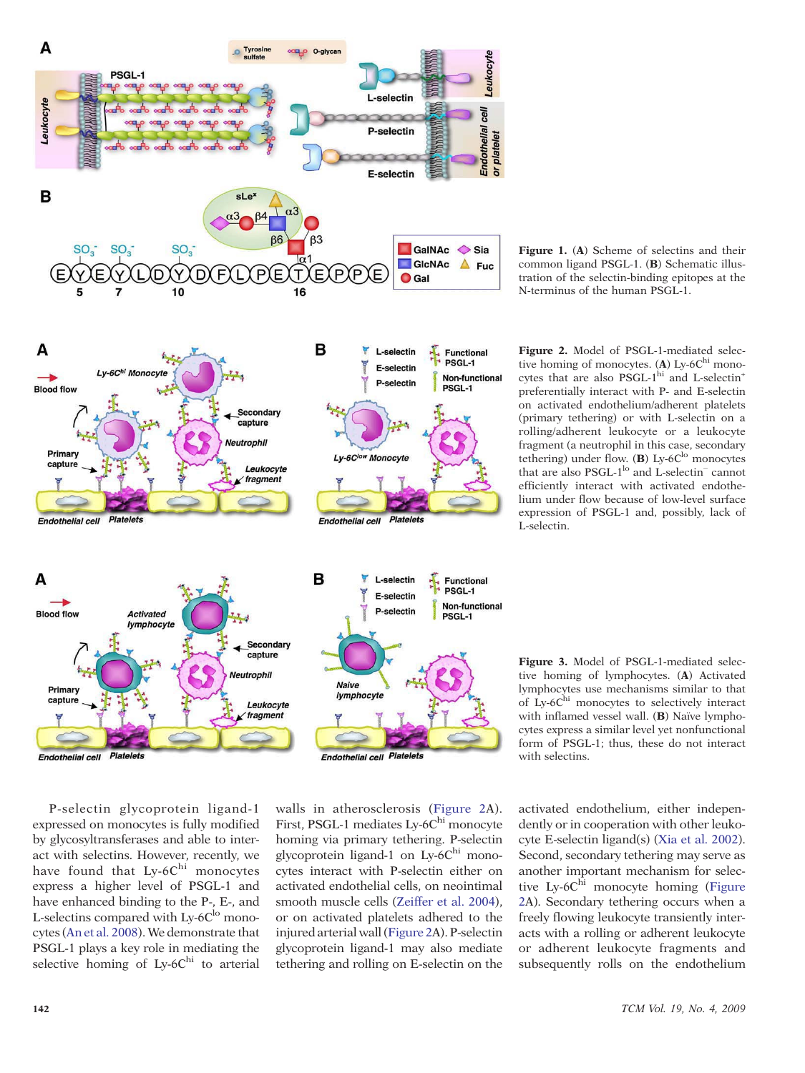<span id="page-2-0"></span>

Secondary capture Neutrophil

> Leukocyte  $\times$  fragment



tive homing of monocytes.  $(A)$  Ly-6C<sup>hi</sup> monocytes that are also PSGL-1<sup>hi</sup> and L-selectin<sup>+</sup> preferentially interact with P- and E-selectin on activated endothelium/adherent platelets (primary tethering) or with L-selectin on a rolling/adherent leukocyte or a leukocyte fragment (a neutrophil in this case, secondary tethering) under flow.  $(B)$  Ly-6C<sup>lo</sup> monocytes that are also PSGL-1<sup>lo</sup> and L-selectin<sup>−</sup> cannot efficiently interact with activated endothelium under flow because of low-level surface expression of PSGL-1 and, possibly, lack of L-selectin.

Figure 1. (A) Scheme of selectins and their common ligand PSGL-1. (B) Schematic illus-



Figure 3. Model of PSGL-1-mediated selective homing of lymphocytes. (A) Activated lymphocytes use mechanisms similar to that of Ly-6Chi monocytes to selectively interact with inflamed vessel wall. (B) Naïve lymphocytes express a similar level yet nonfunctional form of PSGL-1; thus, these do not interact with selectins.

activated endothelium, either independently or in cooperation with other leukocyte E-selectin ligand(s) ([Xia et al. 2002](#page-5-0)). Second, secondary tethering may serve as another important mechanism for selective Ly-6C<sup>hi</sup> monocyte homing (Figure 2A). Secondary tethering occurs when a freely flowing leukocyte transiently interacts with a rolling or adherent leukocyte or adherent leukocyte fragments and subsequently rolls on the endothelium

P-selectin glycoprotein ligand-1 expressed on monocytes is fully modified by glycosyltransferases and able to interact with selectins. However, recently, we have found that  $Ly-6C<sup>hi</sup>$  monocytes express a higher level of PSGL-1 and have enhanced binding to the P-, E-, and L-selectins compared with Ly- $6C^{lo}$  monocytes ([An et al. 2008\)](#page-4-0). We demonstrate that PSGL-1 plays a key role in mediating the selective homing of  $Ly-6C<sup>hi</sup>$  to arterial

walls in atherosclerosis (Figure 2A). First, PSGL-1 mediates Ly-6C<sup>hi</sup> monocyte homing via primary tethering. P-selectin glycoprotein ligand-1 on Ly-6Chi monocytes interact with P-selectin either on activated endothelial cells, on neointimal smooth muscle cells ([Zeiffer et al. 2004\)](#page-5-0), or on activated platelets adhered to the injured arterial wall (Figure 2A). P-selectin glycoprotein ligand-1 may also mediate tethering and rolling on E-selectin on the

Ly-6Clow Monocyte

Endothelial cell Platelets

Primary

capture

**Endothelial cell Platelets**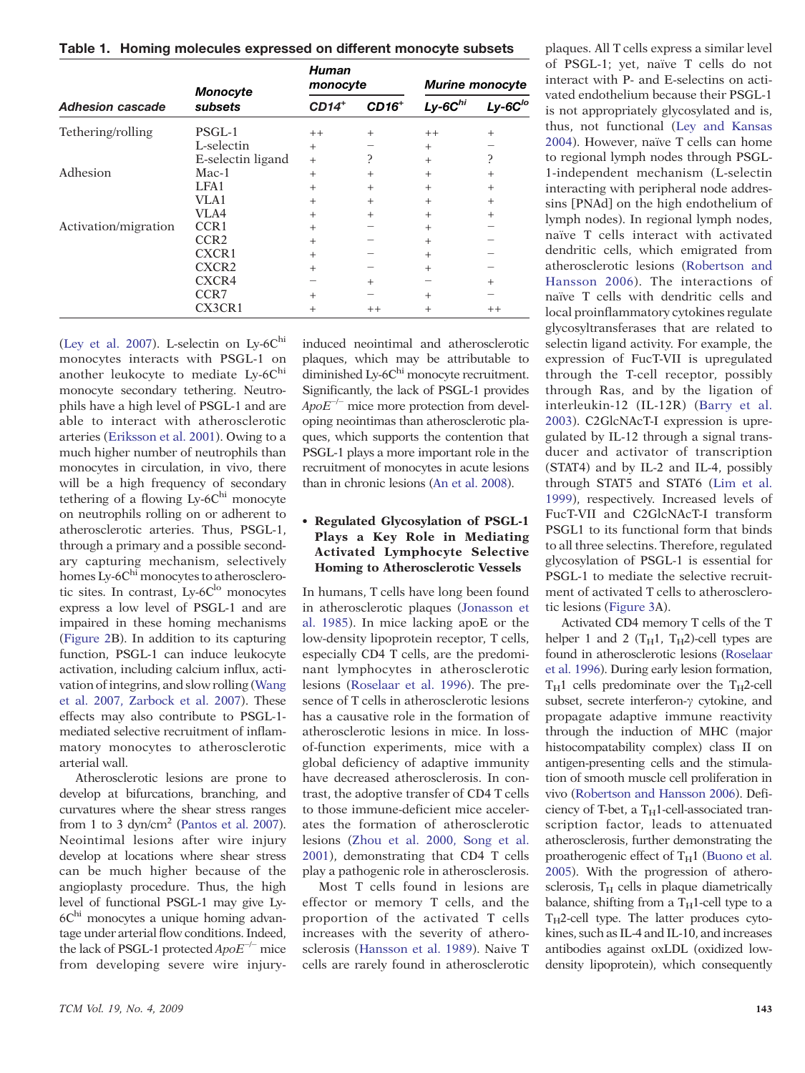<span id="page-3-0"></span>Table 1. Homing molecules expressed on different monocyte subsets

| <b>Adhesion cascade</b> | <b>Monocyte</b><br>subsets | Human<br>monocyte |         | <b>Murine monocyte</b> |                           |
|-------------------------|----------------------------|-------------------|---------|------------------------|---------------------------|
|                         |                            | $CD14+$           | $CD16+$ | $Ly$ -6 $Chi$          | $Ly$ -6 $C$ <sup>to</sup> |
| Tethering/rolling       | PSGL-1                     | $++$              | $^{+}$  | $++$                   | $^{+}$                    |
|                         | L-selectin                 | $^{+}$            |         | $^{+}$                 |                           |
|                         | E-selectin ligand          | $+$               | ?       | $+$                    | ን                         |
| Adhesion                | $Mac-1$                    | $^{+}$            | $^{+}$  | $^{+}$                 | $^{+}$                    |
|                         | LFA1                       | $^{+}$            | $^{+}$  | $^{+}$                 | $^{+}$                    |
|                         | VLA1                       | $+$               | $^{+}$  | $^{+}$                 | $^{+}$                    |
|                         | VLA4                       | $+$               | $^{+}$  | $^{+}$                 | $^{+}$                    |
| Activation/migration    | CCR <sub>1</sub>           | $+$               |         | $^{+}$                 |                           |
|                         | CCR <sub>2</sub>           | $^{+}$            |         | $^{+}$                 |                           |
|                         | CXCR1                      | $^{+}$            |         | $^{+}$                 |                           |
|                         | CXCR <sub>2</sub>          | $^{+}$            |         | $^{+}$                 |                           |
|                         | CXCR4                      |                   | $^{+}$  |                        | $^{+}$                    |
|                         | CCR7                       | $^{+}$            |         | $^{+}$                 |                           |
|                         | CX3CR1                     | $^{+}$            | $++$    | $^{+}$                 | $++$                      |

[\(Ley et al. 2007\)](#page-5-0). L-selectin on Ly-6 $C<sup>hi</sup>$ monocytes interacts with PSGL-1 on another leukocyte to mediate  $Ly-6C<sup>h1</sup>$ monocyte secondary tethering. Neutrophils have a high level of PSGL-1 and are able to interact with atherosclerotic arteries [\(Eriksson et al. 2001\)](#page-4-0). Owing to a much higher number of neutrophils than monocytes in circulation, in vivo, there will be a high frequency of secondary tethering of a flowing Ly- $6C<sup>hi</sup>$  monocyte on neutrophils rolling on or adherent to atherosclerotic arteries. Thus, PSGL-1, through a primary and a possible secondary capturing mechanism, selectively homes  $Ly-6C<sup>hi</sup>$  monocytes to atherosclerotic sites. In contrast,  $Ly-6C<sup>lo</sup>$  monocytes express a low level of PSGL-1 and are impaired in these homing mechanisms [\(Figure 2B](#page-2-0)). In addition to its capturing function, PSGL-1 can induce leukocyte activation, including calcium influx, activation of integrins, and slow rolling [\(Wang](#page-5-0) [et al. 2007, Zarbock et al. 2007\)](#page-5-0). These effects may also contribute to PSGL-1 mediated selective recruitment of inflammatory monocytes to atherosclerotic arterial wall.

Atherosclerotic lesions are prone to develop at bifurcations, branching, and curvatures where the shear stress ranges from 1 to 3 dyn/cm<sup>2</sup> ([Pantos et al. 2007\).](#page-5-0) Neointimal lesions after wire injury develop at locations where shear stress can be much higher because of the angioplasty procedure. Thus, the high level of functional PSGL-1 may give Ly- $6C<sup>hi</sup>$  monocytes a unique homing advantage under arterial flow conditions. Indeed, the lack of PSGL-1 protected  $ApoE^{-/-}$  mice from developing severe wire injuryinduced neointimal and atherosclerotic plaques, which may be attributable to diminished Ly-6C<sup>hi</sup> monocyte recruitment. Significantly, the lack of PSGL-1 provides  $ApoE^{-/-}$  mice more protection from developing neointimas than atherosclerotic plaques, which supports the contention that PSGL-1 plays a more important role in the recruitment of monocytes in acute lesions than in chronic lesions [\(An et al. 2008\)](#page-4-0).

# Regulated Glycosylation of PSGL-1 Plays a Key Role in Mediating Activated Lymphocyte Selective Homing to Atherosclerotic Vessels

In humans, T cells have long been found in atherosclerotic plaques ([Jonasson et](#page-5-0) [al. 1985\)](#page-5-0). In mice lacking apoE or the low-density lipoprotein receptor, T cells, especially CD4 T cells, are the predominant lymphocytes in atherosclerotic lesions [\(Roselaar et al. 1996](#page-5-0)). The presence of T cells in atherosclerotic lesions has a causative role in the formation of atherosclerotic lesions in mice. In lossof-function experiments, mice with a global deficiency of adaptive immunity have decreased atherosclerosis. In contrast, the adoptive transfer of CD4 T cells to those immune-deficient mice accelerates the formation of atherosclerotic lesions ([Zhou et al. 2000, Song et al.](#page-5-0) [2001\),](#page-5-0) demonstrating that CD4 T cells play a pathogenic role in atherosclerosis.

Most T cells found in lesions are effector or memory T cells, and the proportion of the activated T cells increases with the severity of atherosclerosis ([Hansson et al. 1989\)](#page-4-0). Naive T cells are rarely found in atherosclerotic plaques. All T cells express a similar level of PSGL-1; yet, naïve T cells do not interact with P- and E-selectins on activated endothelium because their PSGL-1 is not appropriately glycosylated and is, thus, not functional [\(Ley and Kansas](#page-5-0) [2004\).](#page-5-0) However, naïve T cells can home to regional lymph nodes through PSGL-1-independent mechanism (L-selectin interacting with peripheral node addressins [PNAd] on the high endothelium of lymph nodes). In regional lymph nodes, naïve T cells interact with activated dendritic cells, which emigrated from atherosclerotic lesions ([Robertson and](#page-5-0) [Hansson 2006](#page-5-0)). The interactions of naïve T cells with dendritic cells and local proinflammatory cytokines regulate glycosyltransferases that are related to selectin ligand activity. For example, the expression of FucT-VII is upregulated through the T-cell receptor, possibly through Ras, and by the ligation of interleukin-12 (IL-12R) [\(Barry et al.](#page-4-0) [2003\)](#page-4-0). C2GlcNAcT-I expression is upregulated by IL-12 through a signal transducer and activator of transcription (STAT4) and by IL-2 and IL-4, possibly through STAT5 and STAT6 [\(Lim et al.](#page-5-0) [1999\),](#page-5-0) respectively. Increased levels of FucT-VII and C2GlcNAcT-I transform PSGL1 to its functional form that binds to all three selectins. Therefore, regulated glycosylation of PSGL-1 is essential for PSGL-1 to mediate the selective recruitment of activated T cells to atherosclerotic lesions [\(Figure 3A](#page-2-0)).

Activated CD4 memory T cells of the T helper 1 and 2 ( $T_H1$ ,  $T_H2$ )-cell types are found in atherosclerotic lesions [\(Roselaar](#page-5-0) [et al. 1996\)](#page-5-0). During early lesion formation,  $T_H1$  cells predominate over the  $T_H2$ -cell subset, secrete interferon-γ cytokine, and propagate adaptive immune reactivity through the induction of MHC (major histocompatability complex) class II on antigen-presenting cells and the stimulation of smooth muscle cell proliferation in vivo [\(Robertson and Hansson 2006\).](#page-5-0) Deficiency of T-bet, a T $_H$ 1-cell-associated transcription factor, leads to attenuated atherosclerosis, further demonstrating the proatherogenic effect of  $T_H1$  ([Buono et al.](#page-4-0) [2005\).](#page-4-0) With the progression of atherosclerosis,  $T_H$  cells in plaque diametrically balance, shifting from a  $T_H1$ -cell type to a  $T_H$ 2-cell type. The latter produces cytokines, such as IL-4 and IL-10, and increases antibodies against oxLDL (oxidized lowdensity lipoprotein), which consequently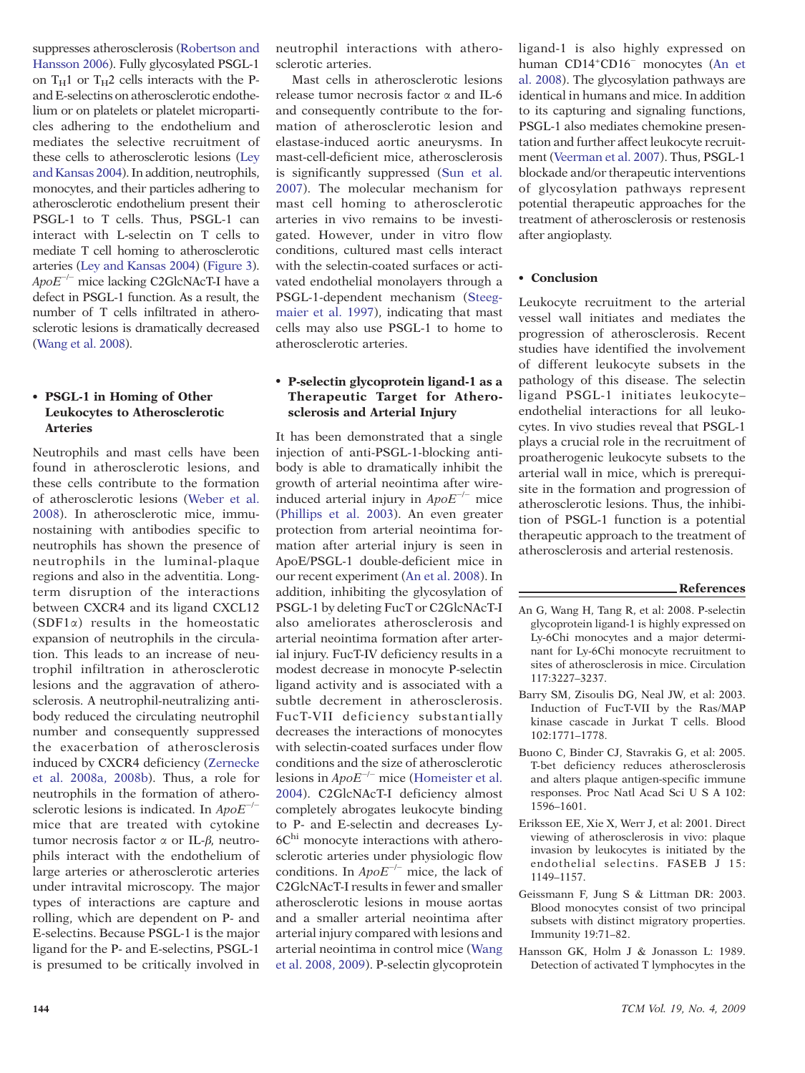<span id="page-4-0"></span>suppresses atherosclerosis [\(Robertson and](#page-5-0) [Hansson 2006\).](#page-5-0) Fully glycosylated PSGL-1 on  $T_H1$  or  $T_H2$  cells interacts with the Pand E-selectins on atherosclerotic endothelium or on platelets or platelet microparticles adhering to the endothelium and mediates the selective recruitment of these cells to atherosclerotic lesions [\(Ley](#page-5-0) [and Kansas 2004\)](#page-5-0). In addition, neutrophils, monocytes, and their particles adhering to atherosclerotic endothelium present their PSGL-1 to T cells. Thus, PSGL-1 can interact with L-selectin on T cells to mediate T cell homing to atherosclerotic arteries [\(Ley and Kansas 2004](#page-5-0)) [\(Figure 3\)](#page-2-0).  $ApoE^{-/-}$  mice lacking C2GlcNAcT-I have a defect in PSGL-1 function. As a result, the number of T cells infiltrated in atherosclerotic lesions is dramatically decreased ([Wang et al. 2008\)](#page-5-0).

# PSGL-1 in Homing of Other Leukocytes to Atherosclerotic Arteries

Neutrophils and mast cells have been found in atherosclerotic lesions, and these cells contribute to the formation of atherosclerotic lesions [\(Weber et al.](#page-5-0) [2008\)](#page-5-0). In atherosclerotic mice, immunostaining with antibodies specific to neutrophils has shown the presence of neutrophils in the luminal-plaque regions and also in the adventitia. Longterm disruption of the interactions between CXCR4 and its ligand CXCL12 (SDF1α) results in the homeostatic expansion of neutrophils in the circulation. This leads to an increase of neutrophil infiltration in atherosclerotic lesions and the aggravation of atherosclerosis. A neutrophil-neutralizing antibody reduced the circulating neutrophil number and consequently suppressed the exacerbation of atherosclerosis induced by CXCR4 deficiency [\(Zernecke](#page-5-0) [et al. 2008a, 2008b\)](#page-5-0). Thus, a role for neutrophils in the formation of atherosclerotic lesions is indicated. In ApoE<sup>-/-</sup> mice that are treated with cytokine tumor necrosis factor α or IL-β, neutrophils interact with the endothelium of large arteries or atherosclerotic arteries under intravital microscopy. The major types of interactions are capture and rolling, which are dependent on P- and E-selectins. Because PSGL-1 is the major ligand for the P- and E-selectins, PSGL-1 is presumed to be critically involved in

neutrophil interactions with atherosclerotic arteries.

Mast cells in atherosclerotic lesions release tumor necrosis factor α and IL-6 and consequently contribute to the formation of atherosclerotic lesion and elastase-induced aortic aneurysms. In mast-cell-deficient mice, atherosclerosis is significantly suppressed [\(Sun et al.](#page-5-0) [2007\).](#page-5-0) The molecular mechanism for mast cell homing to atherosclerotic arteries in vivo remains to be investigated. However, under in vitro flow conditions, cultured mast cells interact with the selectin-coated surfaces or activated endothelial monolayers through a PSGL-1-dependent mechanism [\(Steeg](#page-5-0)[maier et al. 1997\)](#page-5-0), indicating that mast cells may also use PSGL-1 to home to atherosclerotic arteries.

#### P-selectin glycoprotein ligand-1 as a Therapeutic Target for Atherosclerosis and Arterial Injury

It has been demonstrated that a single injection of anti-PSGL-1-blocking antibody is able to dramatically inhibit the growth of arterial neointima after wireinduced arterial injury in  $ApoE^{-/-}$  mice [\(Phillips et al. 2003\).](#page-5-0) An even greater protection from arterial neointima formation after arterial injury is seen in ApoE/PSGL-1 double-deficient mice in our recent experiment (An et al. 2008). In addition, inhibiting the glycosylation of PSGL-1 by deleting FucT or C2GlcNAcT-I also ameliorates atherosclerosis and arterial neointima formation after arterial injury. FucT-IV deficiency results in a modest decrease in monocyte P-selectin ligand activity and is associated with a subtle decrement in atherosclerosis. FucT-VII deficiency substantially decreases the interactions of monocytes with selectin-coated surfaces under flow conditions and the size of atherosclerotic lesions in  $ApoE^{-/-}$  mice [\(Homeister et al.](#page-5-0) [2004\)](#page-5-0). C2GlcNAcT-I deficiency almost completely abrogates leukocyte binding to P- and E-selectin and decreases Ly-6Chi monocyte interactions with atherosclerotic arteries under physiologic flow conditions. In ApoE−/<sup>−</sup> mice, the lack of C2GlcNAcT-I results in fewer and smaller atherosclerotic lesions in mouse aortas and a smaller arterial neointima after arterial injury compared with lesions and arterial neointima in control mice [\(Wang](#page-5-0) [et al. 2008, 2009\)](#page-5-0). P-selectin glycoprotein ligand-1 is also highly expressed on human CD14<sup>+</sup>CD16<sup>-</sup> monocytes (An et al. 2008). The glycosylation pathways are identical in humans and mice. In addition to its capturing and signaling functions, PSGL-1 also mediates chemokine presentation and further affect leukocyte recruitment ([Veerman et al. 2007\)](#page-5-0). Thus, PSGL-1 blockade and/or therapeutic interventions of glycosylation pathways represent potential therapeutic approaches for the treatment of atherosclerosis or restenosis after angioplasty.

# • Conclusion

Leukocyte recruitment to the arterial vessel wall initiates and mediates the progression of atherosclerosis. Recent studies have identified the involvement of different leukocyte subsets in the pathology of this disease. The selectin ligand PSGL-1 initiates leukocyte– endothelial interactions for all leukocytes. In vivo studies reveal that PSGL-1 plays a crucial role in the recruitment of proatherogenic leukocyte subsets to the arterial wall in mice, which is prerequisite in the formation and progression of atherosclerotic lesions. Thus, the inhibition of PSGL-1 function is a potential therapeutic approach to the treatment of atherosclerosis and arterial restenosis.

#### References

- An G, Wang H, Tang R, et al: 2008. P-selectin glycoprotein ligand-1 is highly expressed on Ly-6Chi monocytes and a major determinant for Ly-6Chi monocyte recruitment to sites of atherosclerosis in mice. Circulation 117:3227–3237.
- Barry SM, Zisoulis DG, Neal JW, et al: 2003. Induction of FucT-VII by the Ras/MAP kinase cascade in Jurkat T cells. Blood 102:1771–1778.
- Buono C, Binder CJ, Stavrakis G, et al: 2005. T-bet deficiency reduces atherosclerosis and alters plaque antigen-specific immune responses. Proc Natl Acad Sci U S A 102: 1596–1601.
- Eriksson EE, Xie X, Werr J, et al: 2001. Direct viewing of atherosclerosis in vivo: plaque invasion by leukocytes is initiated by the endothelial selectins. FASEB J 15: 1149–1157.
- Geissmann F, Jung S & Littman DR: 2003. Blood monocytes consist of two principal subsets with distinct migratory properties. Immunity 19:71–82.
- Hansson GK, Holm J & Jonasson L: 1989. Detection of activated T lymphocytes in the